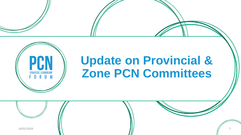

## **Update on Provincial & Zone PCN Committees**

 $24/02/2018$  1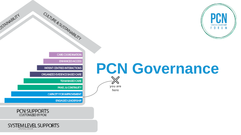

# **PCN Governance**



you are here

**CARE COORDINATION** 

**ENHANCED ACCESS** 

PATIENT CENTRED INTERACTIONS

CULTURE & SUSTAINABILITY

ORGANIZED EVIDENCE BASED CARE

**TEAM BASED CARE** 

**PANEL & CONTINUITY** 

**CAPACITY FOR IMPROVEMENT** 

**ENGAGED LEADERSHIP** 



**PIAINABILITY** 

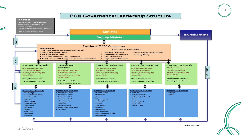





3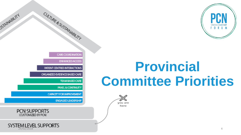

# **Provincial Committee Priorities**



CARE COORDINATION

**ENHANCED ACCESS** 

PATIENT CENTRED INTERACTIONS

CULTURE & SUSTAINABILITY

ORGANIZED EVIDENCE BASED CARE

**TEAM BASED CARE** 

**PANEL & CONTINUITY** 

**CAPACITY FOR IMPROVEMENT** 

**ENGAGED LEADERSHIP** 



**USTAINABILITY** 

SYSTEM LEVEL SUPPORTS 4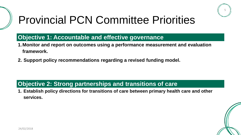

### Provincial PCN Committee Priorities

#### **Objective 1: Accountable and effective governance**

- **1.Monitor and report on outcomes using a performance measurement and evaluation framework.**
- **2. Support policy recommendations regarding a revised funding model.**

#### **Objective 2: Strong partnerships and transitions of care**

**1. Establish policy directions for transitions of care between primary health care and other services.** 

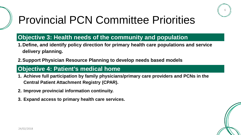

### Provincial PCN Committee Priorities

#### **Objective 3: Health needs of the community and population**

- **1.Define, and identify policy direction for primary health care populations and service delivery planning.**
- **2.Support Physician Resource Planning to develop needs based models**

#### **Objective 4: Patient's medical home**

- **1. Achieve full participation by family physicians/primary care providers and PCNs in the Central Patient Attachment Registry (CPAR).**
- **2. Improve provincial information continuity.**
- **3. Expand access to primary health care services.**

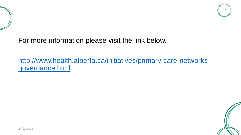



For more information please visit the link below.

[http://www.health.alberta.ca/initiatives/primary-care-networks](http://www.health.alberta.ca/initiatives/primary-care-networks-governance.html)[governance.html](http://www.health.alberta.ca/initiatives/primary-care-networks-governance.html)

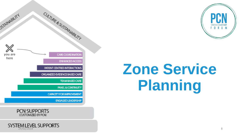

# **Zone Service Planning**

CULTURE & SUSTAINABILITY **USTAINABILITY** CARE COORDINATION you are here **ENHANCED ACCESS** PATIENT CENTRED INTERACTIONS ORGANIZED EVIDENCE BASED CARE **TEAM BASED CARE PANEL & CONTINUITY CAPACITY FOR IMPROVEMENT ENGAGED LEADERSHIP** 



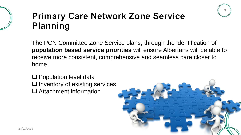

### **Primary Care Network Zone Service Planning**

The PCN Committee Zone Service plans, through the identification of **population based service priorities** will ensure Albertans will be able to receive more consistent, comprehensive and seamless care closer to home.

□ Population level data  $\Box$  Inventory of existing services □ Attachment information

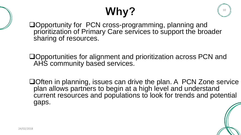# Why?

10

Opportunity for PCN cross-programming, planning and prioritization of Primary Care services to support the broader sharing of resources.

Opportunities for alignment and prioritization across PCN and AHS community based services.

□ Often in planning, issues can drive the plan. A PCN Zone service plan allows partners to begin at a high level and understand current resources and populations to look for trends and potential gaps.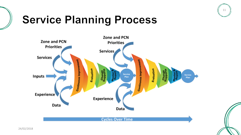

### **Service Planning Process**

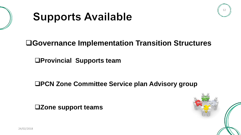





### **Governance Implementation Transition Structures**

**Provincial Supports team** 

**PCN Zone Committee Service plan Advisory group** 

**Zone support teams**